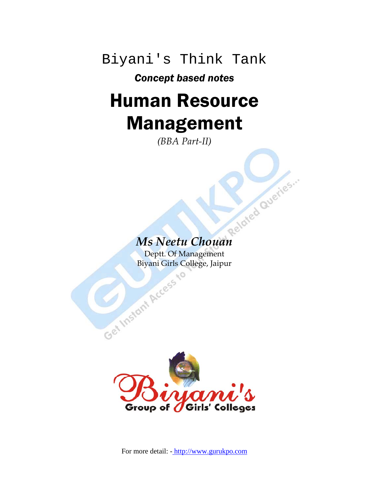Biyani's Think Tank

## *Concept based notes*

# Human Resource Management

*(BBA Part-II)* 

# *Ms Neetu Chouan*

Deptt. Of Management<br>Biyani Girls College, Jaipu Biyani Girls College, Jaipur

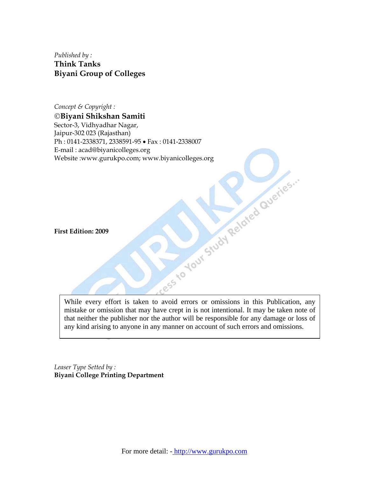*Published by :*  **Think Tanks Biyani Group of Colleges** 

*Concept & Copyright :*  ©**Biyani Shikshan Samiti**  Sector-3, Vidhyadhar Nagar, Jaipur-302 023 (Rajasthan) Ph : 0141-2338371, 2338591-95 • Fax : 0141-2338007 Website :www.gurukpo.com; www.biyanicolleges.org

**First Edition: 2009** 

E-mail : acad@biyanicolleges.org<br>Website :www.gurukpo.com; www.biyanicolleges.org<br>First Edition: 2009<br>W. While every effort is taken to avoid errors or omissions in this Publication, any mistake or omission that may have crept in is not intentional. It may be taken note of that neither the publisher nor the author will be responsible for any damage or loss of any kind arising to anyone in any manner on account of such errors and omissions.

*Leaser Type Setted by :*  **Biyani College Printing Department**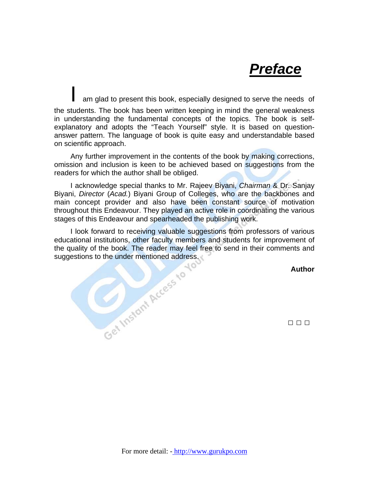# *Preface*

am glad to present this book, especially designed to serve the needs of the students. The book has been written keeping in mind the general weakness in understanding the fundamental concepts of the topics. The book is selfexplanatory and adopts the "Teach Yourself" style. It is based on questionanswer pattern. The language of book is quite easy and understandable based on scientific approach.

 Any further improvement in the contents of the book by making corrections, omission and inclusion is keen to be achieved based on suggestions from the readers for which the author shall be obliged.

 I acknowledge special thanks to Mr. Rajeev Biyani, *Chairman* & Dr. Sanjay Biyani, *Director* (*Acad.*) Biyani Group of Colleges, who are the backbones and main concept provider and also have been constant source of motivation throughout this Endeavour. They played an active role in coordinating the various

stages of this Endeavour and spearheaded the publishing work.<br>
I look forward to receiving valuable suggestions from profeducational institutions, other faculty members and students for<br>
the quality of the book. The reader I look forward to receiving valuable suggestions from professors of various educational institutions, other faculty members and students for improvement of the quality of the book. The reader may feel free to send in their comments and suggestions to the under mentioned address.

**Author** 

□ □ □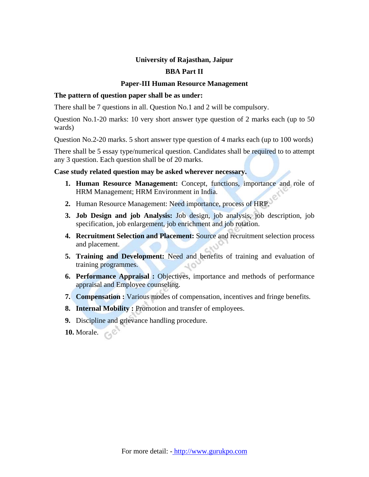### **University of Rajasthan, Jaipur**

### **BBA Part II**

### **Paper-III Human Resource Management**

### **The pattern of question paper shall be as under:**

There shall be 7 questions in all. Question No.1 and 2 will be compulsory.

Question No.1-20 marks: 10 very short answer type question of 2 marks each (up to 50 wards)

Question No.2-20 marks. 5 short answer type question of 4 marks each (up to 100 words)

There shall be 5 essay type/numerical question. Candidates shall be required to to attempt any 3 question. Each question shall be of 20 marks.

### **Case study related question may be asked wherever necessary.**

- **1. Human Resource Management:** Concept, functions, importance and role of HRM Management; HRM Environment in India.
- **2.** Human Resource Management: Need importance, process of HRP.
- **3. Job Design and job Analysis:** Job design, job analysis, job description, job specification, job enlargement, job enrichment and job rotation.
- **4. Recruitment Selection and Placement:** Source and recruitment selection process and placement.
- **5. Training and Development:** Need and benefits of training and evaluation of training programmes.  $40^{1}$
- **6. Performance Appraisal :** Objectives, importance and methods of performance appraisal and Employee counseling.
- **7. Compensation :** Various modes of compensation, incentives and fringe benefits.
- **8. Internal Mobility :** Promotion and transfer of employees.
- **9.** Discipline and grievance handling procedure.
- **10.** Morale.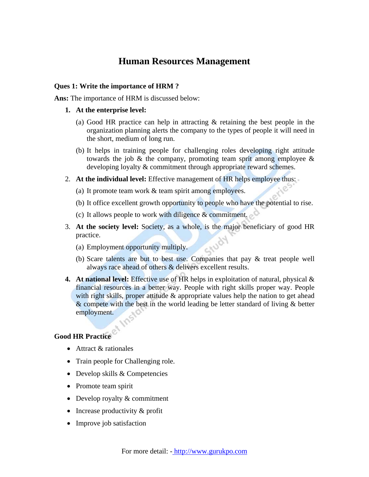### **Human Resources Management**

### **Ques 1: Write the importance of HRM ?**

**Ans:** The importance of HRM is discussed below:

- **1. At the enterprise level:** 
	- (a) Good HR practice can help in attracting & retaining the best people in the organization planning alerts the company to the types of people it will need in the short, medium of long run.
	- (b) It helps in training people for challenging roles developing right attitude towards the job  $\&$  the company, promoting team sprit among employee  $\&$ developing loyalty & commitment through appropriate reward schemes.
- 2. **At the individual level:** Effective management of HR helps employee thus:
	- (a) It promote team work & team spirit among employees.
	- (b) It office excellent growth opportunity to people who have the potential to rise.
	- (c) It allows people to work with diligence  $&$  commitment.
- 3. **At the society level:** Society, as a whole, is the major beneficiary of good HR practice.
	- (a) Employment opportunity multiply.
	- (b) Scare talents are but to best use. Companies that pay & treat people well always race ahead of others & delivers excellent results.
- **4. At national level:** Effective use of HR helps in exploitation of natural, physical & financial resources in a better way. People with right skills proper way. People with right skills, proper attitude & appropriate values help the nation to get ahead & compete with the best in the world leading be letter standard of living & better employment.

### **Good HR Practice**

- Attract & rationales
- Train people for Challenging role.
- Develop skills & Competencies
- Promote team spirit
- Develop royalty & commitment
- Increase productivity & profit
- Improve job satisfaction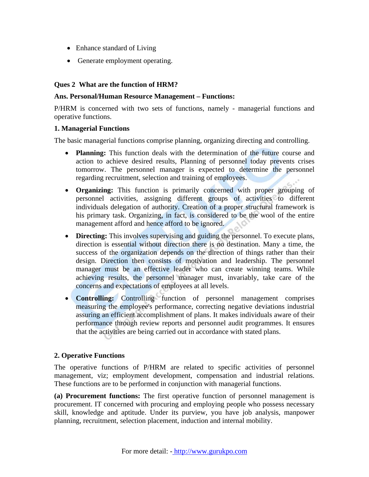- Enhance standard of Living
- Generate employment operating.

### **Ques 2 What are the function of HRM?**

### **Ans. Personal/Human Resource Management – Functions:**

P/HRM is concerned with two sets of functions, namely - managerial functions and operative functions.

### **1. Managerial Functions**

The basic managerial functions comprise planning, organizing directing and controlling.

- **Planning:** This function deals with the determination of the future course and action to achieve desired results, Planning of personnel today prevents crises tomorrow. The personnel manager is expected to determine the personnel regarding recruitment, selection and training of employees.
- **Organizing:** This function is primarily concerned with proper grouping of personnel activities, assigning different groups of activities to different individuals delegation of authority. Creation of a proper structural framework is his primary task. Organizing, in fact, is considered to be the wool of the entire management afford and hence afford to be ignored.
- **Directing:** This involves supervising and guiding the personnel. To execute plans, direction is essential without direction there is no destination. Many a time, the success of the organization depends on the direction of things rather than their design. Direction then consists of motivation and leadership. The personnel manager must be an effective leader who can create winning teams. While achieving results, the personnel manager must, invariably, take care of the concerns and expectations of employees at all levels.
- **Controlling:** Controlling function of personnel management comprises measuring the employee's performance, correcting negative deviations industrial assuring an efficient accomplishment of plans. It makes individuals aware of their performance through review reports and personnel audit programmes. It ensures that the activities are being carried out in accordance with stated plans.

### **2. Operative Functions**

The operative functions of P/HRM are related to specific activities of personnel management, viz; employment development, compensation and industrial relations. These functions are to be performed in conjunction with managerial functions.

**(a) Procurement functions:** The first operative function of personnel management is procurement. IT concerned with procuring and employing people who possess necessary skill, knowledge and aptitude. Under its purview, you have job analysis, manpower planning, recruitment, selection placement, induction and internal mobility.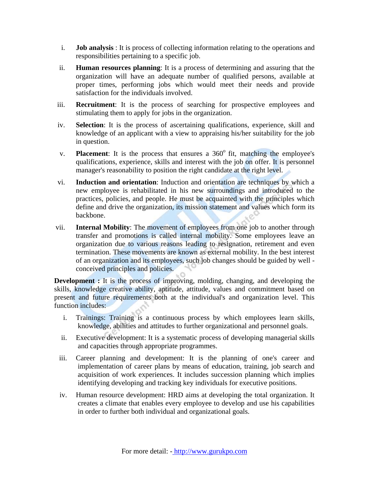- i. **Job analysis** : It is process of collecting information relating to the operations and responsibilities pertaining to a specific job.
- ii. **Human resources planning**: It is a process of determining and assuring that the organization will have an adequate number of qualified persons, available at proper times, performing jobs which would meet their needs and provide satisfaction for the individuals involved.
- iii. **Recruitment**: It is the process of searching for prospective employees and stimulating them to apply for jobs in the organization.
- iv. **Selection**: It is the process of ascertaining qualifications, experience, skill and knowledge of an applicant with a view to appraising his/her suitability for the job in question.
- v. **Placement**: It is the process that ensures a 360<sup>°</sup> fit, matching the employee's qualifications, experience, skills and interest with the job on offer. It is personnel manager's reasonability to position the right candidate at the right level.
- vi. **Induction and orientation**: Induction and orientation are techniques by which a new employee is rehabilitated in his new surroundings and introduced to the practices, policies, and people. He must be acquainted with the principles which define and drive the organization, its mission statement and values which form its backbone.
- vii. **Internal Mobility**: The movement of employees from one job to another through transfer and promotions is called internal mobility. Some employees leave an organization due to various reasons leading to resignation, retirement and even termination. These movements are known as external mobility. In the best interest of an organization and its employees, such job changes should be guided by well conceived principles and policies.

**Development :** It is the process of improving, molding, changing, and developing the skills, knowledge creative ability, aptitude, attitude, values and commitment based on present and future requirements both at the individual's and organization level. This function includes:

- i. Trainings: Training is a continuous process by which employees learn skills, knowledge, abilities and attitudes to further organizational and personnel goals.
- ii. Executive development: It is a systematic process of developing managerial skills and capacities through appropriate programmes.
- iii. Career planning and development: It is the planning of one's career and implementation of career plans by means of education, training, job search and acquisition of work experiences. It includes succession planning which implies identifying developing and tracking key individuals for executive positions.
- iv. Human resource development: HRD aims at developing the total organization. It creates a climate that enables every employee to develop and use his capabilities in order to further both individual and organizational goals.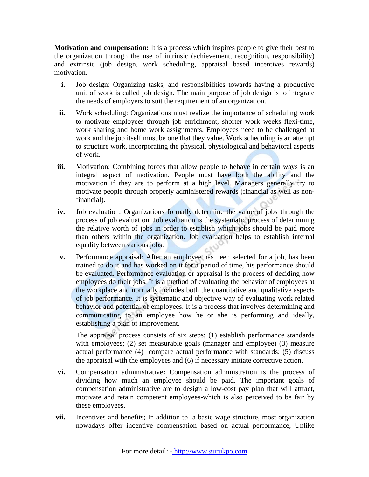**Motivation and compensation:** It is a process which inspires people to give their best to the organization through the use of intrinsic (achievement, recognition, responsibility) and extrinsic (job design, work scheduling, appraisal based incentives rewards) motivation.

- **i.** Job design: Organizing tasks, and responsibilities towards having a productive unit of work is called job design. The main purpose of job design is to integrate the needs of employers to suit the requirement of an organization.
- **ii.** Work scheduling: Organizations must realize the importance of scheduling work to motivate employees through job enrichment, shorter work weeks flexi-time, work sharing and home work assignments, Employees need to be challenged at work and the job itself must be one that they value. Work scheduling is an attempt to structure work, incorporating the physical, physiological and behavioral aspects of work.
- **iii.** Motivation: Combining forces that allow people to behave in certain ways is an integral aspect of motivation. People must have both the ability and the motivation if they are to perform at a high level. Managers generally try to motivate people through properly administered rewards (financial as well as nonfinancial).
- **iv.** Job evaluation: Organizations formally determine the value of jobs through the process of job evaluation. Job evaluation is the systematic process of determining the relative worth of jobs in order to establish which jobs should be paid more than others within the organization. Job evaluation helps to establish internal equality between various jobs.
- **v.** Performance appraisal: After an employee has been selected for a job, has been trained to do it and has worked on it for a period of time, his performance should be evaluated. Performance evaluation or appraisal is the process of deciding how employees do their jobs. It is a method of evaluating the behavior of employees at the workplace and normally includes both the quantitative and qualitative aspects of job performance. It is systematic and objective way of evaluating work related behavior and potential of employees. It is a process that involves determining and communicating to an employee how he or she is performing and ideally, establishing a plan of improvement.

The appraisal process consists of six steps; (1) establish performance standards with employees; (2) set measurable goals (manager and employee) (3) measure actual performance (4) compare actual performance with standards; (5) discuss the appraisal with the employees and (6) if necessary initiate corrective action.

- **vi.** Compensation administrative**:** Compensation administration is the process of dividing how much an employee should be paid. The important goals of compensation administrative are to design a low-cost pay plan that will attract, motivate and retain competent employees-which is also perceived to be fair by these employees.
- **vii.** Incentives and benefits; In addition to a basic wage structure, most organization nowadays offer incentive compensation based on actual performance, Unlike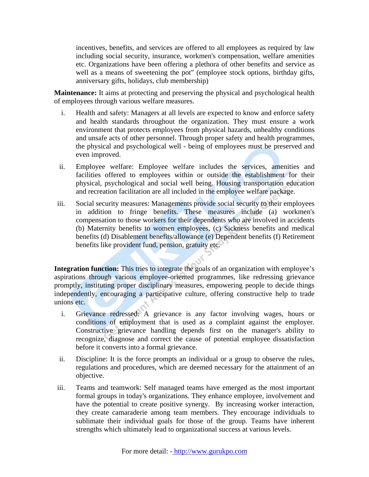incentives, benefits, and services are offered to all employees as required by law including social security, insurance, workmen's compensation, welfare amenities etc. Organizations have been offering a plethora of other benefits and service as well as a means of sweetening the pot" (employee stock options, birthday gifts, anniversary gifts, holidays, club membership)

**Maintenance:** It aims at protecting and preserving the physical and psychological health of employees through various welfare measures.

- i. Health and safety: Managers at all levels are expected to know and enforce safety and health standards throughout the organization. They must ensure a work environment that protects employees from physical hazards, unhealthy conditions and unsafe acts of other personnel. Through proper safety and health programmes, the physical and psychological well - being of employees must be preserved and even improved.
- ii. Employee welfare: Employee welfare includes the services, amenities and facilities offered to employees within or outside the establishment for their physical, psychological and social well being. Housing transportation education and recreation facilitation are all included in the employee welfare package.
- iii. Social security measures: Managements provide social security to their employees in addition to fringe benefits. These measures include (a) workmen's compensation to those workers for their dependents who are involved in accidents (b) Maternity benefits to women employees, (c) Sickness benefits and medical benefits (d) Disablement benefits/allowance (e) Dependent benefits (f) Retirement benefits like provident fund, pension, gratuity etc.

**Integration function:** This tries to integrate the goals of an organization with employee's aspirations through various employee-oriented programmes, like redressing grievance promptly, instituting proper disciplinary measures, empowering people to decide things independently, encouraging a participative culture, offering constructive help to trade unions etc.

- i. Grievance redressed: A grievance is any factor involving wages, hours or conditions of employment that is used as a complaint against the employer. Constructive grievance handling depends first on the manager's ability to recognize, diagnose and correct the cause of potential employee dissatisfaction before it converts into a formal grievance.
- ii. Discipline: It is the force prompts an individual or a group to observe the rules, regulations and procedures, which are deemed necessary for the attainment of an objective.
- iii. Teams and teamwork: Self managed teams have emerged as the most important formal groups in today's organizations. They enhance employee, involvement and have the potential to create positive synergy. By increasing worker interaction, they create camaraderie among team members. They encourage individuals to sublimate their individual goals for those of the group. Teams have inherent strengths which ultimately lead to organizational success at various levels.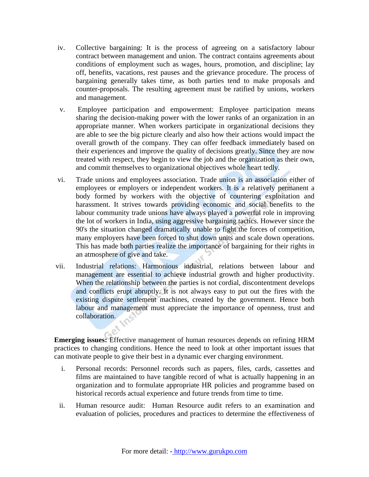- iv. Collective bargaining: It is the process of agreeing on a satisfactory labour contract between management and union. The contract contains agreements about conditions of employment such as wages, hours, promotion, and discipline; lay off, benefits, vacations, rest pauses and the grievance procedure. The process of bargaining generally takes time, as both parties tend to make proposals and counter-proposals. The resulting agreement must be ratified by unions, workers and management.
- v. Employee participation and empowerment: Employee participation means sharing the decision-making power with the lower ranks of an organization in an appropriate manner. When workers participate in organizational decisions they are able to see the big picture clearly and also how their actions would impact the overall growth of the company. They can offer feedback immediately based on their experiences and improve the quality of decisions greatly. Since they are now treated with respect, they begin to view the job and the organization as their own, and commit themselves to organizational objectives whole heart tedly.
- vi. Trade unions and employees association. Trade union is an association either of employees or employers or independent workers. It is a relatively permanent a body formed by workers with the objective of countering exploitation and harassment. It strives towards providing economic and social benefits to the labour community trade unions have always played a powerful role in improving the lot of workers in India, using aggressive bargaining tactics. However since the 90's the situation changed dramatically unable to fight the forces of competition, many employers have been forced to shut down units and scale down operations. This has made both parties realize the importance of bargaining for their rights in an atmosphere of give and take.
- vii. Industrial relations: Harmonious industrial, relations between labour and management are essential to achieve industrial growth and higher productivity. When the relationship between the parties is not cordial, discontentment develops and conflicts erupt abruptly. It is not always easy to put out the fires with the existing dispute settlement machines, created by the government. Hence both labour and management must appreciate the importance of openness, trust and collaboration.

**Emerging issues:** Effective management of human resources depends on refining HRM practices to changing conditions. Hence the need to look at other important issues that can motivate people to give their best in a dynamic ever charging environment.

- i. Personal records: Personnel records such as papers, files, cards, cassettes and films are maintained to have tangible record of what is actually happening in an organization and to formulate appropriate HR policies and programme based on historical records actual experience and future trends from time to time.
- ii. Human resource audit: Human Resource audit refers to an examination and evaluation of policies, procedures and practices to determine the effectiveness of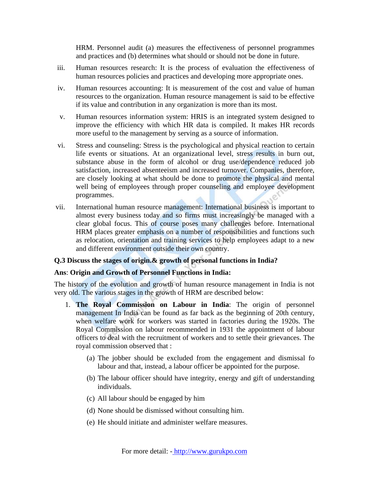HRM. Personnel audit (a) measures the effectiveness of personnel programmes and practices and (b) determines what should or should not be done in future.

- iii. Human resources research: It is the process of evaluation the effectiveness of human resources policies and practices and developing more appropriate ones.
- iv. Human resources accounting: It is measurement of the cost and value of human resources to the organization. Human resource management is said to be effective if its value and contribution in any organization is more than its most.
- v. Human resources information system: HRIS is an integrated system designed to improve the efficiency with which HR data is compiled. It makes HR records more useful to the management by serving as a source of information.
- vi. Stress and counseling: Stress is the psychological and physical reaction to certain life events or situations. At an organizational level, stress results in burn out, substance abuse in the form of alcohol or drug use/dependence reduced job satisfaction, increased absenteeism and increased turnover. Companies, therefore, are closely looking at what should be done to promote the physical and mental well being of employees through proper counseling and employee development programmes.
- vii. International human resource management: International business is important to almost every business today and so firms must increasingly be managed with a clear global focus. This of course poses many challenges before. International HRM places greater emphasis on a number of responsibilities and functions such as relocation, orientation and training services to help employees adapt to a new and different environment outside their own country.

### **Q.3 Discuss the stages of origin.& growth of personal functions in India?**

### **Ans**: **Origin and Growth of Personnel Functions in India:**

The history of the evolution and growth of human resource management in India is not very old. The various stages in the growth of HRM are described below:

- 1. **The Royal Commission on Labour in India**: The origin of personnel management In India can be found as far back as the beginning of 20th century, when welfare work for workers was started in factories during the 1920s. The Royal Commission on labour recommended in 1931 the appointment of labour officers to deal with the recruitment of workers and to settle their grievances. The royal commission observed that :
	- (a) The jobber should be excluded from the engagement and dismissal fo labour and that, instead, a labour officer be appointed for the purpose.
	- (b) The labour officer should have integrity, energy and gift of understanding individuals.
	- (c) All labour should be engaged by him
	- (d) None should be dismissed without consulting him.
	- (e) He should initiate and administer welfare measures.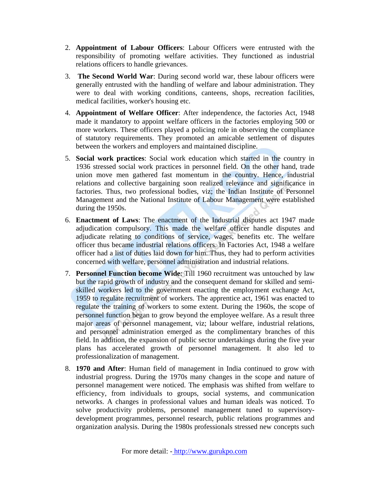- 2. **Appointment of Labour Officers**: Labour Officers were entrusted with the responsibility of promoting welfare activities. They functioned as industrial relations officers to handle grievances.
- 3. **The Second World War**: During second world war, these labour officers were generally entrusted with the handling of welfare and labour administration. They were to deal with working conditions, canteens, shops, recreation facilities, medical facilities, worker's housing etc.
- 4. **Appointment of Welfare Officer**: After independence, the factories Act, 1948 made it mandatory to appoint welfare officers in the factories employing 500 or more workers. These officers played a policing role in observing the compliance of statutory requirements. They promoted an amicable settlement of disputes between the workers and employers and maintained discipline.
- 5. **Social work practices**: Social work education which started in the country in 1936 stressed social work practices in personnel field. On the other hand, trade union move men gathered fast momentum in the country. Hence, industrial relations and collective bargaining soon realized relevance and significance in factories. Thus, two professional bodies, viz; the Indian Institute of Personnel Management and the National Institute of Labour Management were established during the 1950s.
- 6. **Enactment of Laws**: The enactment of the Industrial disputes act 1947 made adjudication compulsory. This made the welfare officer handle disputes and adjudicate relating to conditions of service, wages, benefits etc. The welfare officer thus became industrial relations officers. In Factories Act, 1948 a welfare officer had a list of duties laid down for him. Thus, they had to perform activities concerned with welfare, personnel administration and industrial relations.
- 7. **Personnel Function become Wide**: Till 1960 recruitment was untouched by law but the rapid growth of industry and the consequent demand for skilled and semiskilled workers led to the government enacting the employment exchange Act, 1959 to regulate recruitment of workers. The apprentice act, 1961 was enacted to regulate the training of workers to some extent. During the 1960s, the scope of personnel function began to grow beyond the employee welfare. As a result three major areas of personnel management, viz; labour welfare, industrial relations, and personnel administration emerged as the complimentary branches of this field. In addition, the expansion of public sector undertakings during the five year plans has accelerated growth of personnel management. It also led to professionalization of management.
- 8. **1970 and After**: Human field of management in India continued to grow with industrial progress. During the 1970s many changes in the scope and nature of personnel management were noticed. The emphasis was shifted from welfare to efficiency, from individuals to groups, social systems, and communication networks. A changes in professional values and human ideals was noticed. To solve productivity problems, personnel management tuned to supervisorydevelopment programmes, personnel research, public relations programmes and organization analysis. During the 1980s professionals stressed new concepts such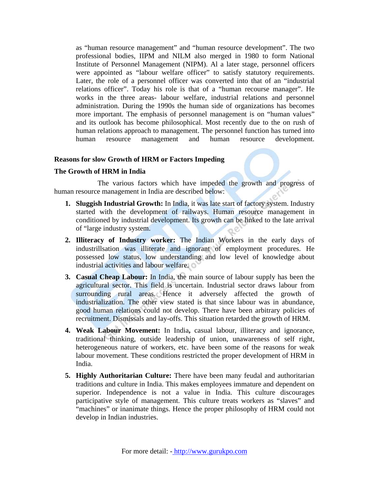as "human resource management" and "human resource development". The two professional bodies, IIPM and NILM also merged in 1980 to form National Institute of Personnel Management (NIPM). Al a later stage, personnel officers were appointed as "labour welfare officer" to satisfy statutory requirements. Later, the role of a personnel officer was converted into that of an "industrial relations officer". Today his role is that of a "human recourse manager". He works in the three areas- labour welfare, industrial relations and personnel administration. During the 1990s the human side of organizations has becomes more important. The emphasis of personnel management is on "human values" and its outlook has become philosophical. Most recently due to the on rush of human relations approach to management. The personnel function has turned into human resource management and human resource development.

### **Reasons for slow Growth of HRM or Factors Impeding**

### **The Growth of HRM in India**

The various factors which have impeded the growth and progress of human resource management in India are described below:

- **1. Sluggish Industrial Growth:** In India, it was late start of factory system. Industry started with the development of railways. Human resource management in conditioned by industrial development. Its growth can be linked to the late arrival of "large industry system.
- **2. Illiteracy of Industry worker:** The Indian Workers in the early days of industrillsation was illiterate and ignorant of employment procedures. He possessed low status, low understanding and low level of knowledge about industrial activities and labour welfare.
- **3. Casual Cheap Labour:** In India, the main source of labour supply has been the agricultural sector. This field is uncertain. Industrial sector draws labour from surrounding rural areas. Hence it adversely affected the growth of industrialization. The other view stated is that since labour was in abundance, good human relations could not develop. There have been arbitrary policies of recruitment. Dismissals and lay-offs. This situation retarded the growth of HRM.
- **4. Weak Labour Movement:** In India**,** casual labour, illiteracy and ignorance, traditional thinking, outside leadership of union, unawareness of self right, heterogeneous nature of workers, etc. have been some of the reasons for weak labour movement. These conditions restricted the proper development of HRM in India.
- **5. Highly Authoritarian Culture:** There have been many feudal and authoritarian traditions and culture in India. This makes employees immature and dependent on superior. Independence is not a value in India. This culture discourages participative style of management. This culture treats workers as "slaves" and "machines" or inanimate things. Hence the proper philosophy of HRM could not develop in Indian industries.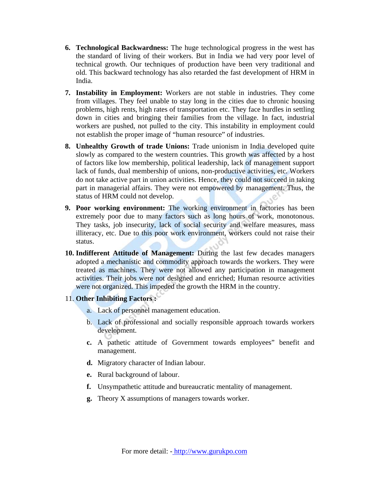- **6. Technological Backwardness:** The huge technological progress in the west has the standard of living of their workers. But in India we had very poor level of technical growth. Our techniques of production have been very traditional and old. This backward technology has also retarded the fast development of HRM in India.
- **7. Instability in Employment:** Workers are not stable in industries. They come from villages. They feel unable to stay long in the cities due to chronic housing problems, high rents, high rates of transportation etc. They face hurdles in settling down in cities and bringing their families from the village. In fact, industrial workers are pushed, not pulled to the city. This instability in employment could not establish the proper image of "human resource" of industries.
- **8. Unhealthy Growth of trade Unions:** Trade unionism in India developed quite slowly as compared to the western countries. This growth was affected by a host of factors like low membership, political leadership, lack of management support lack of funds, dual membership of unions, non-productive activities, etc. Workers do not take active part in union activities. Hence, they could not succeed in taking part in managerial affairs. They were not empowered by management. Thus, the status of HRM could not develop.
- **9. Poor working environment:** The working environment in factories has been extremely poor due to many factors such as long hours of work, monotonous. They tasks, job insecurity, lack of social security and welfare measures, mass illiteracy, etc. Due to this poor work environment, workers could not raise their status.
- **10. Indifferent Attitude of Management:** During the last few decades managers adopted a mechanistic and commodity approach towards the workers. They were treated as machines. They were not allowed any participation in management activities. Their jobs were not designed and enriched; Human resource activities were not organized. This impeded the growth the HRM in the country.
- 11. **Other Inhibiting Factors :** 
	- a. Lack of personnel management education.
	- b. Lack of professional and socially responsible approach towards workers development.
	- **c.** A pathetic attitude of Government towards employees" benefit and management.
	- **d.** Migratory character of Indian labour.
	- **e.** Rural background of labour.
	- **f.** Unsympathetic attitude and bureaucratic mentality of management.
	- **g.** Theory X assumptions of managers towards worker.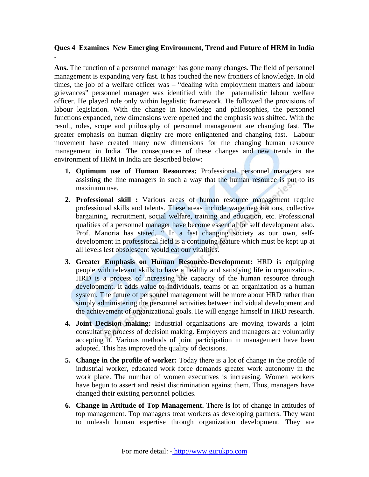### **Ques 4 Examines New Emerging Environment, Trend and Future of HRM in India**

**.** 

**Ans.** The function of a personnel manager has gone many changes. The field of personnel management is expanding very fast. It has touched the new frontiers of knowledge. In old times, the job of a welfare officer was – "dealing with employment matters and labour grievances" personnel manager was identified with the paternalistic labour welfare officer. He played role only within legalistic framework. He followed the provisions of labour legislation. With the change in knowledge and philosophies, the personnel functions expanded, new dimensions were opened and the emphasis was shifted. With the result, roles, scope and philosophy of personnel management are changing fast. The greater emphasis on human dignity are more enlightened and changing fast. Labour movement have created many new dimensions for the changing human resource management in India. The consequences of these changes and new trends in the environment of HRM in India are described below:

- **1. Optimum use of Human Resources:** Professional personnel managers are assisting the line managers in such a way that the human resource is put to its maximum use.
- **2. Professional skill :** Various areas of human resource management require professional skills and talents. These areas include wage negotiations, collective bargaining, recruitment, social welfare, training and education, etc. Professional qualities of a personnel manager have become essential for self development also. Prof. Manoria has stated, " In a fast changing society as our own, selfdevelopment in professional field is a continuing feature which must be kept up at all levels lest obsolescent would eat our vitalities.
- **3. Greater Emphasis on Human Resource-Development:** HRD is equipping people with relevant skills to have a healthy and satisfying life in organizations. HRD is a process of increasing the capacity of the human resource through development. It adds value to individuals, teams or an organization as a human system. The future of personnel management will be more about HRD rather than simply administering the personnel activities between individual development and the achievement of organizational goals. He will engage himself in HRD research.
- **4. Joint Decision making:** Industrial organizations are moving towards a joint consultative process of decision making. Employers and managers are voluntarily accepting it. Various methods of joint participation in management have been adopted. This has improved the quality of decisions.
- **5. Change in the profile of worker:** Today there is a lot of change in the profile of industrial worker, educated work force demands greater work autonomy in the work place. The number of women executives is increasing. Women workers have begun to assert and resist discrimination against them. Thus, managers have changed their existing personnel policies.
- **6. Change in Attitude of Top Management.** There **is** lot of change in attitudes of top management. Top managers treat workers as developing partners. They want to unleash human expertise through organization development. They are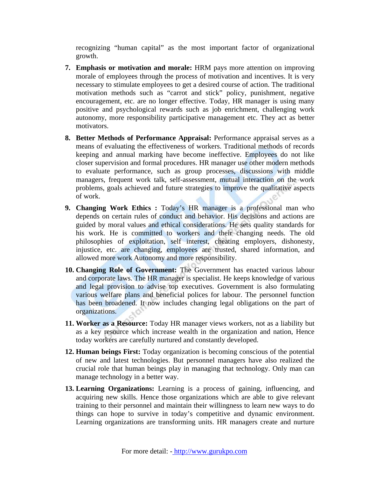recognizing "human capital" as the most important factor of organizational growth.

- **7. Emphasis or motivation and morale:** HRM pays more attention on improving morale of employees through the process of motivation and incentives. It is very necessary to stimulate employees to get a desired course of action. The traditional motivation methods such as "carrot and stick" policy, punishment, negative encouragement, etc. are no longer effective. Today, HR manager is using many positive and psychological rewards such as job enrichment, challenging work autonomy, more responsibility participative management etc. They act as better motivators.
- **8. Better Methods of Performance Appraisal:** Performance appraisal serves as a means of evaluating the effectiveness of workers. Traditional methods of records keeping and annual marking have become ineffective. Employees do not like closer supervision and formal procedures. HR manager use other modern methods to evaluate performance, such as group processes, discussions with middle managers, frequent work talk, self-assessment, mutual interaction on the work problems, goals achieved and future strategies to improve the qualitative aspects of work.
- **9. Changing Work Ethics :** Today's HR manager is a professional man who depends on certain rules of conduct and behavior. His decisions and actions are guided by moral values and ethical considerations. He sets quality standards for his work. He is committed to workers and their changing needs. The old philosophies of exploitation, self interest, cheating employers, dishonesty, injustice, etc. are changing, employees are trusted, shared information, and allowed more work Autonomy and more responsibility.
- **10. Changing Role of Government:** The Government has enacted various labour and corporate laws. The HR manager is specialist. He keeps knowledge of various and legal provision to advise top executives. Government is also formulating various welfare plans and beneficial polices for labour. The personnel function has been broadened. It now includes changing legal obligations on the part of organizations.
- **11. Worker as a Resource:** Today HR manager views workers, not as a liability but as a key resource which increase wealth in the organization and nation, Hence today workers are carefully nurtured and constantly developed.
- **12. Human beings First:** Today organization is becoming conscious of the potential of new and latest technologies. But personnel managers have also realized the crucial role that human beings play in managing that technology. Only man can manage technology in a better way.
- **13. Learning Organizations:** Learning is a process of gaining, influencing, and acquiring new skills. Hence those organizations which are able to give relevant training to their personnel and maintain their willingness to learn new ways to do things can hope to survive in today's competitive and dynamic environment. Learning organizations are transforming units. HR managers create and nurture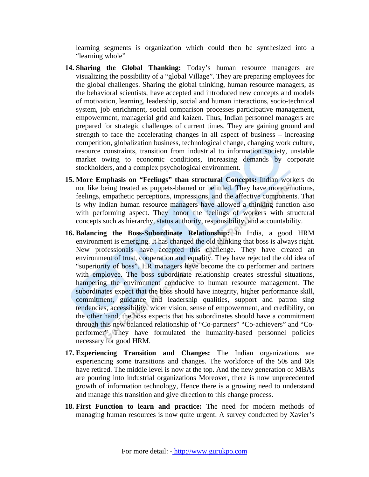learning segments is organization which could then be synthesized into a "learning whole"

- **14. Sharing the Global Thanking:** Today's human resource managers are visualizing the possibility of a "global Village". They are preparing employees for the global challenges. Sharing the global thinking, human resource managers, as the behavioral scientists, have accepted and introduced new concepts and models of motivation, learning, leadership, social and human interactions, socio-technical system, job enrichment, social comparison processes participative management, empowerment, managerial grid and kaizen. Thus, Indian personnel managers are prepared for strategic challenges of current times. They are gaining ground and strength to face the accelerating changes in all aspect of business – increasing competition, globalization business, technological change, changing work culture, resource constraints, transition from industrial to information society, unstable market owing to economic conditions, increasing demands by corporate stockholders, and a complex psychological environment.
- **15. More Emphasis on "Feelings" than structural Concepts:** Indian workers do not like being treated as puppets-blamed or belittled. They have more emotions, feelings, empathetic perceptions, impressions, and the affective components. That is why Indian human resource managers have allowed a thinking function also with performing aspect. They honor the feelings of workers with structural concepts such as hierarchy, status authority, responsibility, and accountability.
- **16. Balancing the Boss-Subordinate Relationship:** In India, a good HRM environment is emerging. It has changed the old thinking that boss is always right. New professionals have accepted this challenge. They have created an environment of trust, cooperation and equality. They have rejected the old idea of "superiority of boss". HR managers have become the co performer and partners with employee. The boss subordinate relationship creates stressful situations, hampering the environment conducive to human resource management. The subordinates expect that the boss should have integrity, higher performance skill, commitment, guidance and leadership qualities, support and patron sing tendencies, accessibility, wider vision, sense of empowerment, and credibility, on the other hand, the boss expects that his subordinates should have a commitment through this new balanced relationship of "Co-partners" "Co-achievers" and "Coperformer" They have formulated the humanity-based personnel policies necessary for good HRM.
- **17. Experiencing Transition and Changes:** The Indian organizations are experiencing some transitions and changes. The workforce of the 50s and 60s have retired. The middle level is now at the top. And the new generation of MBAs are pouring into industrial organizations Moreover, there is now unprecedented growth of information technology, Hence there is a growing need to understand and manage this transition and give direction to this change process.
- **18. First Function to learn and practice:** The need for modern methods of managing human resources is now quite urgent. A survey conducted by Xavier's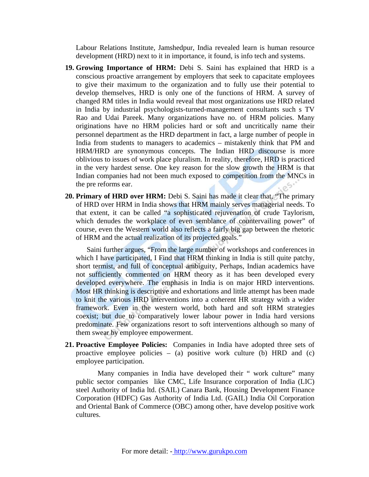Labour Relations Institute, Jamshedpur, India revealed learn is human resource development (HRD) next to it in importance, it found, is info tech and systems.

- **19. Growing Importance of HRM:** Debi S. Saini has explained that HRD is a conscious proactive arrangement by employers that seek to capacitate employees to give their maximum to the organization and to fully use their potential to develop themselves, HRD is only one of the functions of HRM. A survey of changed RM titles in India would reveal that most organizations use HRD related in India by industrial psychologists-turned-management consultants such s TV Rao and Udai Pareek. Many organizations have no. of HRM policies. Many originations have no HRM policies hard or soft and uncritically name their personnel department as the HRD department in fact, a large number of people in India from students to managers to academics – mistakenly think that PM and HRM/HRD are synonymous concepts. The Indian HRD discourse is more oblivious to issues of work place pluralism. In reality, therefore, HRD is practiced in the very hardest sense. One key reason for the slow growth the HRM is that Indian companies had not been much exposed to competition from the MNCs in the pre reforms ear.
- **20. Primary of HRD over HRM:** Debi S. Saini has made it clear that, "The primary of HRD over HRM in India shows that HRM mainly serves managerial needs. To that extent, it can be called "a sophisticated rejuvenation of crude Taylorism, which denudes the workplace of even semblance of countervailing power" of course, even the Western world also reflects a fairly big gap between the rhetoric of HRM and the actual realization of its projected goals."

Saini further argues, "From the large number of workshops and conferences in which I have participated, I Find that HRM thinking in India is still quite patchy, short termist, and full of conceptual ambiguity, Perhaps, Indian academics have not sufficiently commented on HRM theory as it has been developed every developed everywhere. The emphasis in India is on major HRD interventions. Most HR thinking is descriptive and exhortations and little attempt has been made to knit the various HRD interventions into a coherent HR strategy with a wider framework. Even in the western world, both hard and soft HRM strategies coexist; but due to comparatively lower labour power in India hard versions predominate. Few organizations resort to soft interventions although so many of them swear by employee empowerment.

**21. Proactive Employee Policies:** Companies in India have adopted three sets of proactive employee policies – (a) positive work culture (b) HRD and (c) employee participation.

Many companies in India have developed their " work culture" many public sector companies like CMC, Life Insurance corporation of India (LIC) steel Authority of India ltd. (SAIL) Canara Bank, Housing Development Finance Corporation (HDFC) Gas Authority of India Ltd. (GAIL) India Oil Corporation and Oriental Bank of Commerce (OBC) among other, have develop positive work cultures.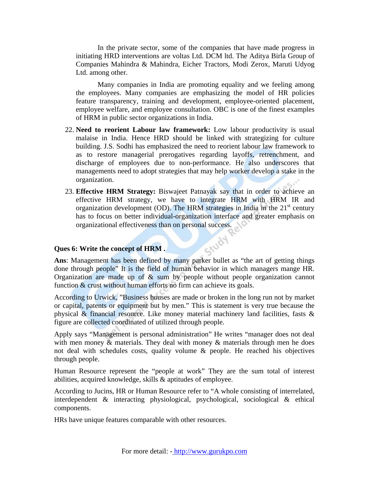In the private sector, some of the companies that have made progress in initiating HRD interventions are voltas Ltd. DCM ltd. The Aditya Birla Group of Companies Mahindra & Mahindra, Eicher Tractors, Modi Zerox, Maruti Udyog Ltd. among other.

Many companies in India are promoting equality and we feeling among the employees. Many companies are emphasizing the model of HR policies feature transparency, training and development, employee-oriented placement, employee welfare, and employee consultation. OBC is one of the finest examples of HRM in public sector organizations in India.

- 22. **Need to reorient Labour law framework:** Low labour productivity is usual malaise in India. Hence HRD should be linked with strategizing for culture building. J.S. Sodhi has emphasized the need to reorient labour law framework to as to restore managerial prerogatives regarding layoffs, retrenchment, and discharge of employees due to non-performance. He also underscores that managements need to adopt strategies that may help worker develop a stake in the organization.
- 23. **Effective HRM Strategy:** Biswajeet Patnayak say that in order to achieve an effective HRM strategy, we have to integrate HRM with HRM IR and organization development (OD). The HRM strategies in India in the  $21<sup>st</sup>$  century has to focus on better individual-organization interface and greater emphasis on organizational effectiveness than on personal success.

### **Ques 6: Write the concept of HRM .**

**Ques 6: Write the concept of HRM.**<br>Ans: Management has been defined by many parker bullet as "the art of getting things done through people" It is the field of human behavior in which managers mange HR. Organization are made up of  $\&$  sum by people without people organization cannot function & crust without human efforts no firm can achieve its goals.

According to Urwick, "Business houses are made or broken in the long run not by market or capital, patents or equipment but by men." This is statement is very true because the physical  $\&$  financial resource. Like money material machinery land facilities, fasts  $\&$ figure are collected coordinated of utilized through people.

Apply says "Management is personal administration" He writes "manager does not deal with men money  $\&$  materials. They deal with money  $\&$  materials through men he does not deal with schedules costs, quality volume & people. He reached his objectives through people.

Human Resource represent the "people at work" They are the sum total of interest abilities, acquired knowledge, skills & aptitudes of employee.

According to Jucins, HR or Human Resource refer to "A whole consisting of interrelated, interdependent & interacting physiological, psychological, sociological & ethical components.

HRs have unique features comparable with other resources.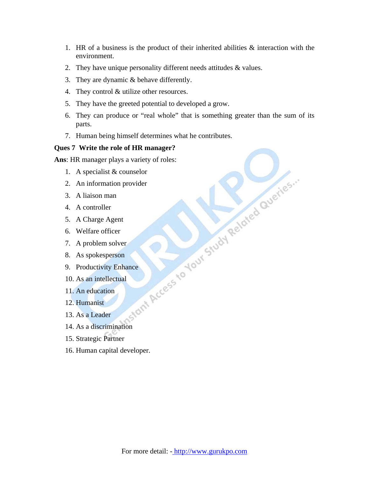- 1. HR of a business is the product of their inherited abilities & interaction with the environment.
- 2. They have unique personality different needs attitudes & values.
- 3. They are dynamic & behave differently.
- 4. They control & utilize other resources.
- 5. They have the greeted potential to developed a grow.
- 6. They can produce or "real whole" that is something greater than the sum of its parts.
- 7. Human being himself determines what he contributes.

Ques 7 Write the role of HR manager?<br> **Ans:** HR manager plays a variety of roles:<br>
1. A specialist & counselor<br>
2. An information provider<br>
3. A Liaison man<br>
4. A controller<br>
5. A Charge Agent<br>
6. Welfare officer<br>
7. A pro **Ans**: HR manager plays a variety of roles:

- 1. A specialist & counselor
- 2. An information provider
- 3. A liaison man
- 4. A controller
- 5. A Charge Agent
- 6. Welfare officer
- 7. A problem solver
- 8. As spokesperson
- 9. Productivity Enhance
- 10. As an intellectual
- 11. An education
- 12. Humanist
- 13. As a Leader
- 14. As a discrimination
- 15. Strategic Partner
- 16. Human capital developer.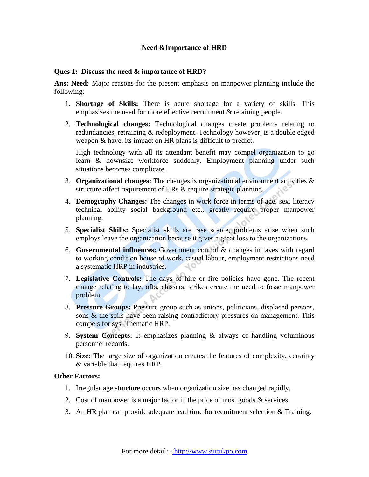### **Need &Importance of HRD**

### **Ques 1: Discuss the need & importance of HRD?**

**Ans: Need:** Major reasons for the present emphasis on manpower planning include the following:

- 1. **Shortage of Skills:** There is acute shortage for a variety of skills. This emphasizes the need for more effective recruitment & retaining people.
- 2. **Technological changes:** Technological changes create problems relating to redundancies, retraining & redeployment. Technology however, is a double edged weapon & have, its impact on HR plans is difficult to predict.

High technology with all its attendant benefit may compel organization to go learn & downsize workforce suddenly. Employment planning under such situations becomes complicate.

- 3. **Organizational changes:** The changes is organizational environment activities & structure affect requirement of HRs & require strategic planning.
- 4. **Demography Changes:** The changes in work force in terms of age, sex, literacy technical ability social background etc., greatly require proper manpower planning.
- 5. **Specialist Skills:** Specialist skills are rase scarce, problems arise when such employs leave the organization because it gives a great loss to the organizations.
- 6. **Governmental influences:** Government control & changes in laves with regard to working condition house of work, casual labour, employment restrictions need a systematic HRP in industries.  $10$
- 7. **Legislative Controls:** The days of hire or fire policies have gone. The recent change relating to lay, offs, classers, strikes create the need to fosse manpower problem.
- 8. **Pressure Groups:** Pressure group such as unions, politicians, displaced persons, sons & the soils have been raising contradictory pressures on management. This compels for sys. Thematic HRP.
- 9. **System Concepts:** It emphasizes planning & always of handling voluminous personnel records.
- 10. **Size:** The large size of organization creates the features of complexity, certainty & variable that requires HRP.

### **Other Factors:**

- 1. Irregular age structure occurs when organization size has changed rapidly.
- 2. Cost of manpower is a major factor in the price of most goods  $\&$  services.
- 3. An HR plan can provide adequate lead time for recruitment selection  $&$  Training.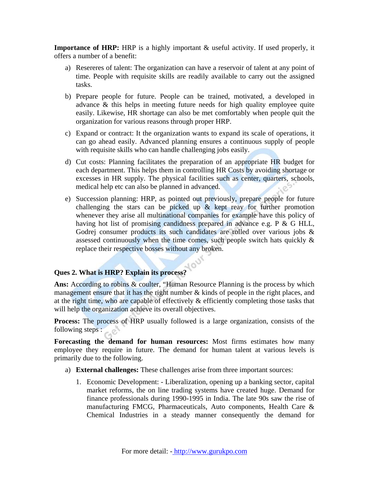**Importance of HRP:** HRP is a highly important & useful activity. If used properly, it offers a number of a benefit:

- a) Resereres of talent: The organization can have a reservoir of talent at any point of time. People with requisite skills are readily available to carry out the assigned tasks.
- b) Prepare people for future. People can be trained, motivated, a developed in advance & this helps in meeting future needs for high quality employee quite easily. Likewise, HR shortage can also be met comfortably when people quit the organization for various reasons through proper HRP.
- c) Expand or contract: It the organization wants to expand its scale of operations, it can go ahead easily. Advanced planning ensures a continuous supply of people with requisite skills who can handle challenging jobs easily.
- d) Cut costs: Planning facilitates the preparation of an appropriate HR budget for each department. This helps them in controlling HR Costs by avoiding shortage or excesses in HR supply. The physical facilities such as center, quarters, schools, medical help etc can also be planned in advanced.
- e) Succession planning: HRP, as pointed out previously, prepare people for future challenging the stars can be picked up  $\&$  kept reay for further promotion whenever they arise all multinational companies for example have this policy of having hot list of promising candidness prepared in advance e.g. P & G HLL, Godrej consumer products its such candidates are rolled over various jobs & assessed continuously when the time comes, such people switch hats quickly  $\&$ replace their respective bosses without any broken.

# **Ques 2. What is HRP? Explain its process?**

Ans: According to robins & coulter, "Human Resource Planning is the process by which management ensure that it has the right number & kinds of people in the right places, and at the right time, who are capable of effectively & efficiently completing those tasks that will help the organization achieve its overall objectives.

**Process:** The process of HRP usually followed is a large organization, consists of the following steps :

**Forecasting the demand for human resources:** Most firms estimates how many employee they require in future. The demand for human talent at various levels is primarily due to the following.

- a) **External challenges:** These challenges arise from three important sources:
	- 1. Economic Development: Liberalization, opening up a banking sector, capital market reforms, the on line trading systems have created huge. Demand for finance professionals during 1990-1995 in India. The late 90s saw the rise of manufacturing FMCG, Pharmaceuticals, Auto components, Health Care & Chemical Industries in a steady manner consequently the demand for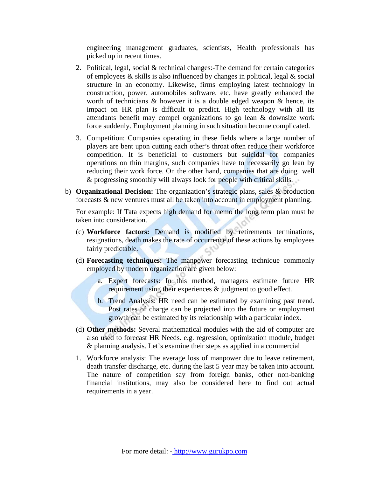engineering management graduates, scientists, Health professionals has picked up in recent times.

- 2. Political, legal, social  $&$  technical changes:-The demand for certain categories of employees & skills is also influenced by changes in political, legal & social structure in an economy. Likewise, firms employing latest technology in construction, power, automobiles software, etc. have greatly enhanced the worth of technicians  $\&$  however it is a double edged weapon  $\&$  hence, its impact on HR plan is difficult to predict. High technology with all its attendants benefit may compel organizations to go lean & downsize work force suddenly. Employment planning in such situation become complicated.
- 3. Competition: Companies operating in these fields where a large number of players are bent upon cutting each other's throat often reduce their workforce competition. It is beneficial to customers but suicidal for companies operations on thin margins, such companies have to necessarily go lean by reducing their work force. On the other hand, companies that are doing well & progressing smoothly will always look for people with critical skills.
- b) **Organizational Decision:** The organization's strategic plans, sales & production forecasts & new ventures must all be taken into account in employment planning.

For example: If Tata expects high demand for memo the long term plan must be taken into consideration.

- (c) **Workforce factors:** Demand is modified by retirements terminations, resignations, death makes the rate of occurrence of these actions by employees fairly predictable.
- (d) **Forecasting techniques:** The manpower forecasting technique commonly employed by modern organization are given below:
	- a. Expert forecasts: In this method, managers estimate future HR requirement using their experiences & judgment to good effect.
	- b. Trend Analysis: HR need can be estimated by examining past trend. Post rates of charge can be projected into the future or employment growth can be estimated by its relationship with a particular index.
- (d) **Other methods:** Several mathematical modules with the aid of computer are also used to forecast HR Needs. e.g. regression, optimization module, budget & planning analysis. Let's examine their steps as applied in a commercial
- 1. Workforce analysis: The average loss of manpower due to leave retirement, death transfer discharge, etc. during the last 5 year may be taken into account. The nature of competition say from foreign banks, other non-banking financial institutions, may also be considered here to find out actual requirements in a year.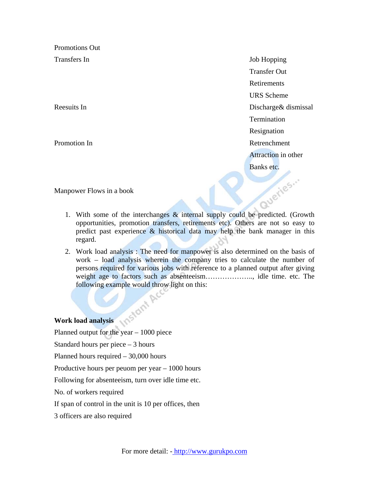Promotions Out

Transfers In Job Hopping Transfer Out Retirements URS Scheme Reesuits In Discharge & dismissal Termination Resignation Promotion In **Promotion** In **Retreading Contract Contract Contract Contract Contract Contract Contract Contract Contract Contract Contract Contract Contract Contract Contract Contract Contract Contract Contract Contract Co**  Attraction in other Banks etc.

Manpower Flows in a book

- 1. With some of the interchanges & internal supply could be predicted. (Growth opportunities, promotion transfers, retirements etc). Others are not so easy to predict past experience  $\&$  historical data may help the bank manager in this regard.
- 2. Work load analysis : The need for manpower is also determined on the basis of work – load analysis wherein the company tries to calculate the number of persons required for various jobs with reference to a planned output after giving weight age to factors such as absenteeism……………….., idle time. etc. The following example would throw light on this:<br>coad analysis

**Work load analysis** 

Planned output for the year – 1000 piece

Standard hours per piece – 3 hours

Planned hours required – 30,000 hours

Productive hours per peuom per year – 1000 hours

Following for absenteeism, turn over idle time etc.

No. of workers required

If span of control in the unit is 10 per offices, then

3 officers are also required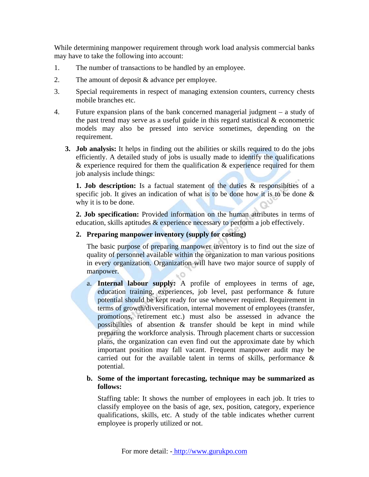While determining manpower requirement through work load analysis commercial banks may have to take the following into account:

- 1. The number of transactions to be handled by an employee.
- 2. The amount of deposit & advance per employee.
- 3. Special requirements in respect of managing extension counters, currency chests mobile branches etc.
- 4. Future expansion plans of the bank concerned managerial judgment a study of the past trend may serve as a useful guide in this regard statistical & econometric models may also be pressed into service sometimes, depending on the requirement.
	- **3. Job analysis:** It helps in finding out the abilities or skills required to do the jobs efficiently. A detailed study of jobs is usually made to identify the qualifications & experience required for them the qualification & experience required for them job analysis include things:

**1. Job description:** Is a factual statement of the duties & responsibities of a specific job. It gives an indication of what is to be done how it is to be done  $\&$ why it is to be done.

**2. Job specification:** Provided information on the human attributes in terms of education, skills aptitudes & experience necessary to perform a job effectively.

### **2. Preparing manpower inventory (supply for costing)**

The basic purpose of preparing manpower inventory is to find out the size of quality of personnel available within the organization to man various positions in every organization. Organization will have two major source of supply of manpower.

a. **Internal labour supply:** A profile of employees in terms of age, education training, experiences, job level, past performance & future potential should be kept ready for use whenever required. Requirement in terms of growth/diversification, internal movement of employees (transfer, promotions, retirement etc.) must also be assessed in advance the possibilities of absention & transfer should be kept in mind while preparing the workforce analysis. Through placement charts or succession plans, the organization can even find out the approximate date by which important position may fall vacant. Frequent manpower audit may be carried out for the available talent in terms of skills, performance & potential.

### **b. Some of the important forecasting, technique may be summarized as follows:**

Staffing table: It shows the number of employees in each job. It tries to classify employee on the basis of age, sex, position, category, experience qualifications, skills, etc. A study of the table indicates whether current employee is properly utilized or not.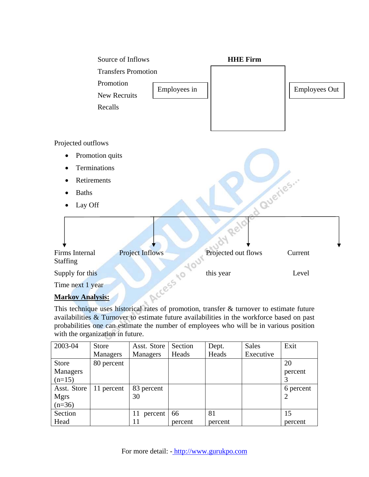

This technique uses historical rates of promotion, transfer & turnover to estimate future availabilities & Turnover to estimate future availabilities in the workforce based on past probabilities one can estimate the number of employees who will be in various position with the organization in future.

| 2003-04         | <b>Store</b>    | Asst. Store     | Section | Dept.   | <b>Sales</b> | Exit           |
|-----------------|-----------------|-----------------|---------|---------|--------------|----------------|
|                 | <b>Managers</b> | <b>Managers</b> | Heads   | Heads   | Executive    |                |
| <b>Store</b>    | 80 percent      |                 |         |         |              | 20             |
| <b>Managers</b> |                 |                 |         |         |              | percent        |
| $(n=15)$        |                 |                 |         |         |              |                |
| Asst. Store     | 11 percent      | 83 percent      |         |         |              | 6 percent      |
| <b>Mgrs</b>     |                 | 30              |         |         |              | $\overline{2}$ |
| $(n=36)$        |                 |                 |         |         |              |                |
| Section         |                 | 11 percent      | 66      | 81      |              | 15             |
| Head            |                 | 11              | percent | percent |              | percent        |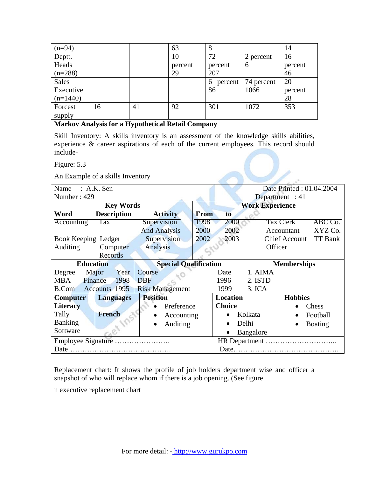| $(n=94)$     |    |    | 63      | 8            |            | 14      |
|--------------|----|----|---------|--------------|------------|---------|
| Deptt.       |    |    | 10      | 72           | 2 percent  | 16      |
| Heads        |    |    | percent | percent      | 6          | percent |
| $(n=288)$    |    |    | 29      | 207          |            | 46      |
| <b>Sales</b> |    |    |         | 6<br>percent | 74 percent | 20      |
| Executive    |    |    |         | 86           | 1066       | percent |
| $(n=1440)$   |    |    |         |              |            | 28      |
| Forcest      | 16 | 41 | 92      | 301          | 1072       | 353     |
| supply       |    |    |         |              |            |         |

### **Markov Analysis for a Hypothetical Retail Company**

Skill Inventory: A skills inventory is an assessment of the knowledge skills abilities, experience & career aspirations of each of the current employees. This record should include-

| Figure: 5.3                         |                              |                    |                          |                                        |  |  |
|-------------------------------------|------------------------------|--------------------|--------------------------|----------------------------------------|--|--|
| An Example of a skills Inventory    |                              |                    |                          |                                        |  |  |
| Name<br>$: A.K.$ Sen                |                              |                    | Date Printed: 01.04.2004 |                                        |  |  |
| Number: 429                         |                              | Department : $41$  |                          |                                        |  |  |
| <b>Key Words</b>                    | <b>Work Experience</b>       |                    |                          |                                        |  |  |
| <b>Description</b><br>Word          | <b>Activity</b>              | From<br>to         |                          |                                        |  |  |
| Tax<br>Accounting                   | Supervision                  | 1998<br>2000       |                          | <b>Tax Clerk</b><br>ABC Co.            |  |  |
|                                     | <b>And Analysis</b>          | 2000<br>2002       |                          | XYZ Co.<br>Accountant                  |  |  |
| Supervision<br>Book Keeping Ledger  |                              | 2002<br>2003       |                          | <b>TT Bank</b><br><b>Chief Account</b> |  |  |
| Computer<br>Auditing                | <b>Analysis</b>              |                    | Officer                  |                                        |  |  |
| Records                             |                              |                    |                          |                                        |  |  |
| <b>Education</b>                    | <b>Special Qualification</b> | <b>Memberships</b> |                          |                                        |  |  |
| Major<br>Year<br>Degree             | Course                       | Date               | 1. AIMA                  |                                        |  |  |
| <b>MBA</b><br>Finance<br>1998       | <b>DBF</b>                   | 1996               | 2. ISTD                  |                                        |  |  |
| <b>B.Com</b><br>Accounts 1995       | <b>Risk Management</b>       | 1999               | 3. ICA                   |                                        |  |  |
| <b>Computer</b><br><b>Languages</b> | <b>Position</b>              | <b>Location</b>    |                          | <b>Hobbies</b>                         |  |  |
| <b>Literacy</b>                     | Preference                   | <b>Choice</b>      |                          | Chess                                  |  |  |
| <b>French</b><br>Tally              | Accounting                   |                    | Kolkata                  | Football                               |  |  |
| <b>Banking</b>                      | Auditing                     |                    | Delhi                    | <b>Boating</b>                         |  |  |
| Software                            |                              | $\bullet$          | Bangalore                |                                        |  |  |
| Employee Signature                  |                              |                    |                          |                                        |  |  |
|                                     |                              |                    |                          |                                        |  |  |

Replacement chart: It shows the profile of job holders department wise and officer a snapshot of who will replace whom if there is a job opening. (See figure

n executive replacement chart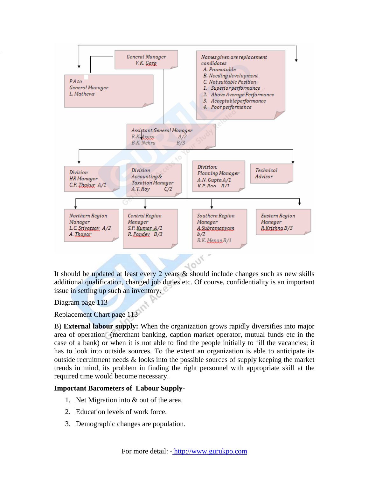

It should be updated at least every 2 years & should include changes such as new skills additional qualification, changed job duties etc. Of course, confidentiality is an important issue in setting up such an inventory.

### Diagram page 113

Replacement Chart page 113

B) **External labour supply:** When the organization grows rapidly diversifies into major area of operation (merchant banking, caption market operator, mutual funds etc in the case of a bank) or when it is not able to find the people initially to fill the vacancies; it has to look into outside sources. To the extent an organization is able to anticipate its outside recruitment needs & looks into the possible sources of supply keeping the market trends in mind, its problem in finding the right personnel with appropriate skill at the required time would become necessary.

### **Important Barometers of Labour Supply-**

- 1. Net Migration into & out of the area.
- 2. Education levels of work force.
- 3. Demographic changes are population.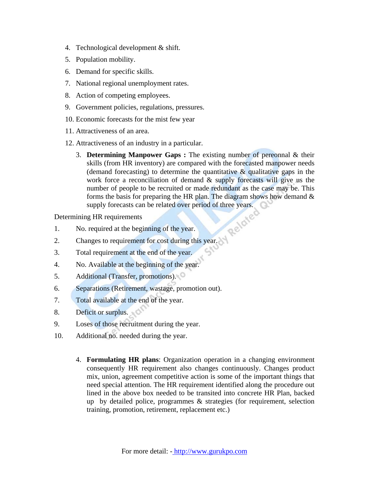- 4. Technological development & shift.
- 5. Population mobility.
- 6. Demand for specific skills.
- 7. National regional unemployment rates.
- 8. Action of competing employees.
- 9. Government policies, regulations, pressures.
- 10. Economic forecasts for the mist few year
- 11. Attractiveness of an area.
- 12. Attractiveness of an industry in a particular.
	- 3. **Determining Manpower Gaps :** The existing number of pereonnal & their skills (from HR inventory) are compared with the forecasted manpower needs (demand forecasting) to determine the quantitative  $\&$  qualitative gaps in the work force a reconciliation of demand & supply forecasts will give us the number of people to be recruited or made redundant as the case may be. This forms the basis for preparing the HR plan. The diagram shows how demand  $\&$ supply forecasts can be related over period of three years.<br>
	Ig HR requirements<br>
	required at the beginning of the

Determining HR requirements

- 1. No. required at the beginning of the year.
- 2. Changes to requirement for cost during this year.
- 3. Total requirement at the end of the year.
- 4. No. Available at the beginning of the year.
- 5. Additional (Transfer, promotions).
- 6. Separations (Retirement, wastage, promotion out).
- 7. Total available at the end of the year.
- 8. Deficit or surplus.
- 9. Loses of those recruitment during the year.
- 10. Additional no. needed during the year.
	- 4. **Formulating HR plans**: Organization operation in a changing environment consequently HR requirement also changes continuously. Changes product mix, union, agreement competitive action is some of the important things that need special attention. The HR requirement identified along the procedure out lined in the above box needed to be transited into concrete HR Plan, backed up by detailed police, programmes & strategies (for requirement, selection training, promotion, retirement, replacement etc.)